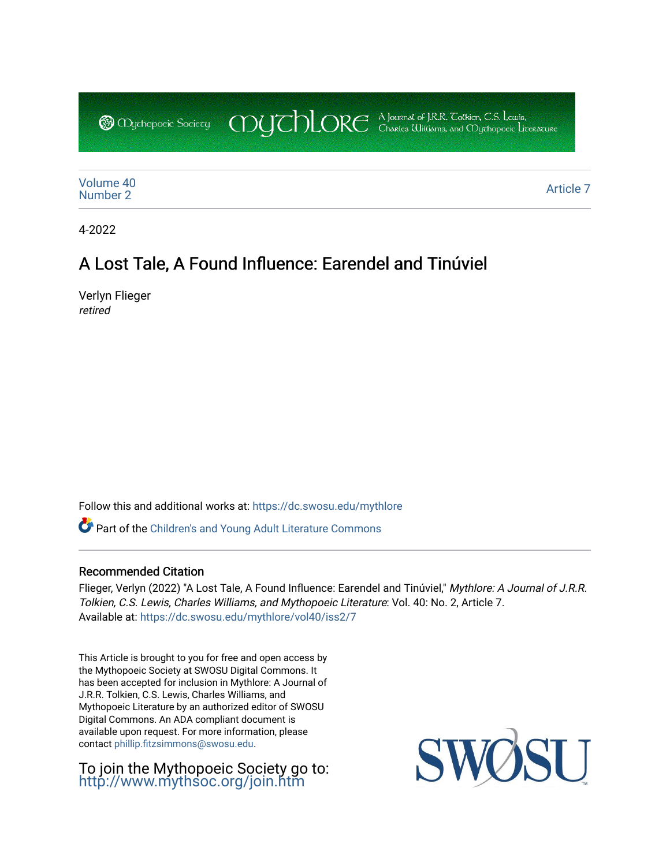CDUCHLORE A Journal of J.R.R. Coltien, C.S. Lewis,<br>CDUCHLORE Charles Williams, and Obyethopoeic Literacure **@** Mychopoeic Sociecy

[Volume 40](https://dc.swosu.edu/mythlore/vol40)<br>Number 2 [Number 2](https://dc.swosu.edu/mythlore/vol40/iss2) [Article 7](https://dc.swosu.edu/mythlore/vol40/iss2/7) Article 7 Article 7 Article 7 Article 7 Article 7 Article 7 Article 7 Article 7 Article 7 Article 7 Article 7 Article 7 Article 7 Article 7 Article 7 Article 7 Article 7 Article 7 Article 7 Article 7 Art

4-2022

# A Lost Tale, A Found Influence: Earendel and Tinúviel

Verlyn Flieger retired

Follow this and additional works at: [https://dc.swosu.edu/mythlore](https://dc.swosu.edu/mythlore?utm_source=dc.swosu.edu%2Fmythlore%2Fvol40%2Fiss2%2F7&utm_medium=PDF&utm_campaign=PDFCoverPages) 

Part of the [Children's and Young Adult Literature Commons](http://network.bepress.com/hgg/discipline/1289?utm_source=dc.swosu.edu%2Fmythlore%2Fvol40%2Fiss2%2F7&utm_medium=PDF&utm_campaign=PDFCoverPages) 

### Recommended Citation

Flieger, Verlyn (2022) "A Lost Tale, A Found Influence: Earendel and Tinúviel," Mythlore: A Journal of J.R.R. Tolkien, C.S. Lewis, Charles Williams, and Mythopoeic Literature: Vol. 40: No. 2, Article 7. Available at: [https://dc.swosu.edu/mythlore/vol40/iss2/7](https://dc.swosu.edu/mythlore/vol40/iss2/7?utm_source=dc.swosu.edu%2Fmythlore%2Fvol40%2Fiss2%2F7&utm_medium=PDF&utm_campaign=PDFCoverPages) 

This Article is brought to you for free and open access by the Mythopoeic Society at SWOSU Digital Commons. It has been accepted for inclusion in Mythlore: A Journal of J.R.R. Tolkien, C.S. Lewis, Charles Williams, and Mythopoeic Literature by an authorized editor of SWOSU Digital Commons. An ADA compliant document is available upon request. For more information, please contact [phillip.fitzsimmons@swosu.edu.](mailto:phillip.fitzsimmons@swosu.edu)

To join the Mythopoeic Society go to: <http://www.mythsoc.org/join.htm>

SWO **ST T**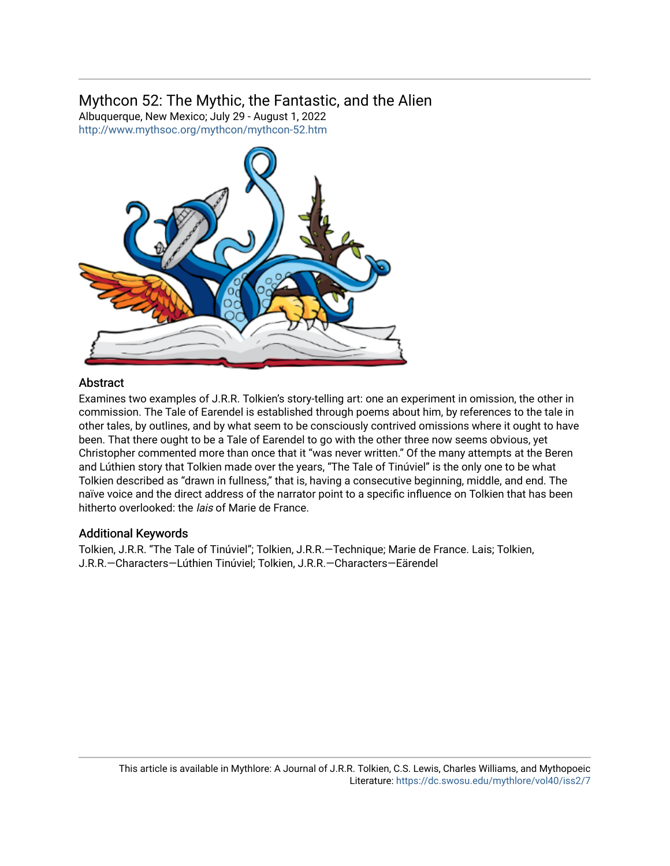# Mythcon 52: The Mythic, the Fantastic, and the Alien

Albuquerque, New Mexico; July 29 - August 1, 2022 <http://www.mythsoc.org/mythcon/mythcon-52.htm>



### **Abstract**

Examines two examples of J.R.R. Tolkien's story-telling art: one an experiment in omission, the other in commission. The Tale of Earendel is established through poems about him, by references to the tale in other tales, by outlines, and by what seem to be consciously contrived omissions where it ought to have been. That there ought to be a Tale of Earendel to go with the other three now seems obvious, yet Christopher commented more than once that it "was never written." Of the many attempts at the Beren and Lúthien story that Tolkien made over the years, "The Tale of Tinúviel" is the only one to be what Tolkien described as "drawn in fullness," that is, having a consecutive beginning, middle, and end. The naïve voice and the direct address of the narrator point to a specific influence on Tolkien that has been hitherto overlooked: the *lais* of Marie de France.

### Additional Keywords

Tolkien, J.R.R. "The Tale of Tinúviel"; Tolkien, J.R.R.—Technique; Marie de France. Lais; Tolkien, J.R.R.—Characters—Lúthien Tinúviel; Tolkien, J.R.R.—Characters—Eärendel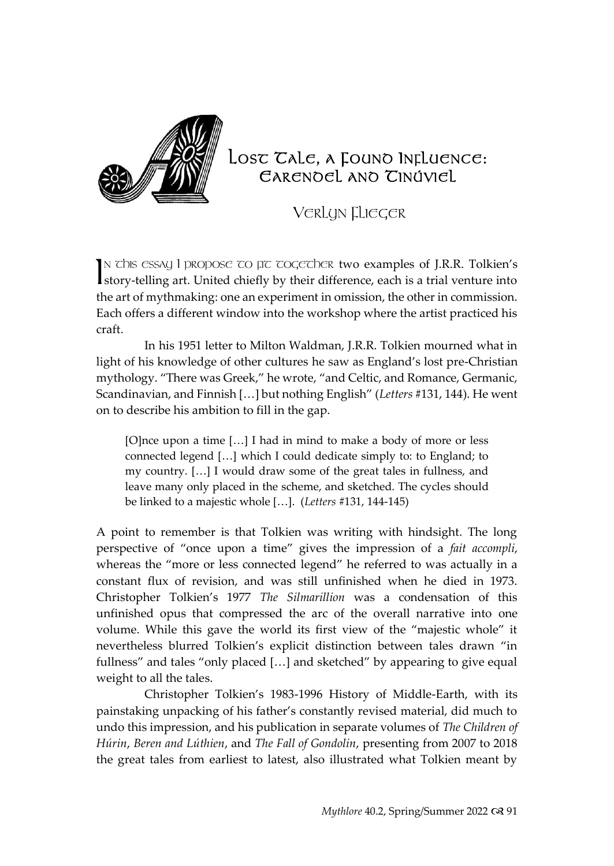

## LOST TALE, A FOUND INFLUENCE: EARENDEL AND TINÚVIEL

VERLYN FLIEGER

IN This essay I propose to  $\mu$ t together two examples of J.R.R. Tolkien's IN This essay I propose TO  $\pi$  ToogeTher two examples of J.R.R. Tolkien's story-telling art. United chiefly by their difference, each is a trial venture into the art of mythmaking: one an experiment in omission, the other in commission. Each offers a different window into the workshop where the artist practiced his craft.

In his 1951 letter to Milton Waldman, J.R.R. Tolkien mourned what in light of his knowledge of other cultures he saw as England's lost pre-Christian mythology. "There was Greek," he wrote, "and Celtic, and Romance, Germanic, Scandinavian, and Finnish […] but nothing English" (*Letters* #131, 144). He went on to describe his ambition to fill in the gap.

[O]nce upon a time [...] I had in mind to make a body of more or less connected legend […] which I could dedicate simply to: to England; to my country. […] I would draw some of the great tales in fullness, and leave many only placed in the scheme, and sketched. The cycles should be linked to a majestic whole […]. (*Letters* #131, 144-145)

A point to remember is that Tolkien was writing with hindsight. The long perspective of "once upon a time" gives the impression of a *fait accompli*, whereas the "more or less connected legend" he referred to was actually in a constant flux of revision, and was still unfinished when he died in 1973. Christopher Tolkien's 1977 *The Silmarillion* was a condensation of this unfinished opus that compressed the arc of the overall narrative into one volume. While this gave the world its first view of the "majestic whole" it nevertheless blurred Tolkien's explicit distinction between tales drawn "in fullness" and tales "only placed […] and sketched" by appearing to give equal weight to all the tales.

Christopher Tolkien's 1983-1996 History of Middle-Earth, with its painstaking unpacking of his father's constantly revised material, did much to undo this impression, and his publication in separate volumes of *The Children of Húrin*, *Beren and Lúthien*, and *The Fall of Gondolin*, presenting from 2007 to 2018 the great tales from earliest to latest, also illustrated what Tolkien meant by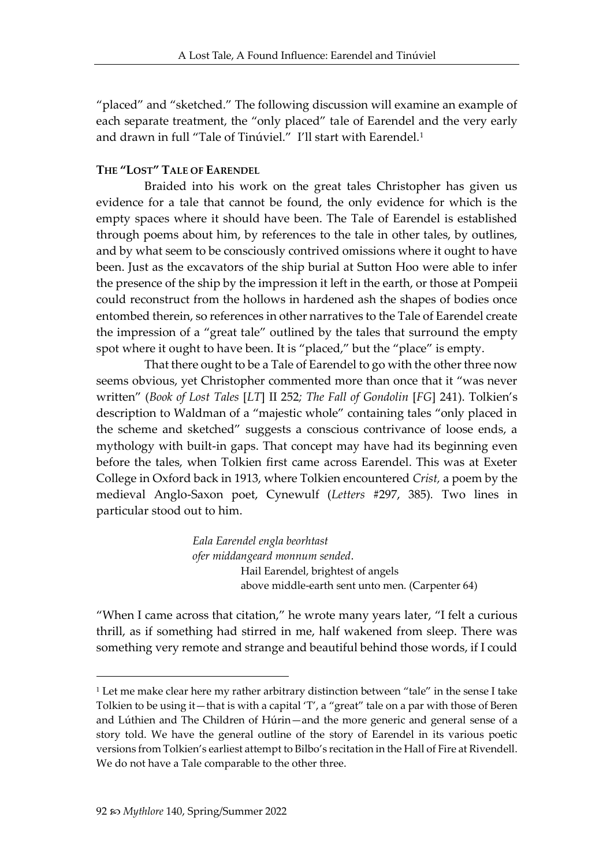"placed" and "sketched." The following discussion will examine an example of each separate treatment, the "only placed" tale of Earendel and the very early and drawn in full "Tale of Tinúviel." I'll start with Earendel.<sup>1</sup>

#### **THE "LOST" TALE OF EARENDEL**

Braided into his work on the great tales Christopher has given us evidence for a tale that cannot be found, the only evidence for which is the empty spaces where it should have been. The Tale of Earendel is established through poems about him, by references to the tale in other tales, by outlines, and by what seem to be consciously contrived omissions where it ought to have been. Just as the excavators of the ship burial at Sutton Hoo were able to infer the presence of the ship by the impression it left in the earth, or those at Pompeii could reconstruct from the hollows in hardened ash the shapes of bodies once entombed therein, so references in other narratives to the Tale of Earendel create the impression of a "great tale" outlined by the tales that surround the empty spot where it ought to have been. It is "placed," but the "place" is empty.

That there ought to be a Tale of Earendel to go with the other three now seems obvious, yet Christopher commented more than once that it "was never written" (*Book of Lost Tales* [*LT*] II 252*; The Fall of Gondolin* [*FG*] 241). Tolkien's description to Waldman of a "majestic whole" containing tales "only placed in the scheme and sketched" suggests a conscious contrivance of loose ends, a mythology with built-in gaps. That concept may have had its beginning even before the tales, when Tolkien first came across Earendel. This was at Exeter College in Oxford back in 1913, where Tolkien encountered *Crist,* a poem by the medieval Anglo-Saxon poet, Cynewulf (*Letters* #297, 385)*.* Two lines in particular stood out to him.

> *Eala Earendel engla beorhtast ofer middangeard monnum sended*. Hail Earendel, brightest of angels above middle-earth sent unto men. (Carpenter 64)

"When I came across that citation," he wrote many years later, "I felt a curious thrill, as if something had stirred in me, half wakened from sleep. There was something very remote and strange and beautiful behind those words, if I could

 $1$  Let me make clear here my rather arbitrary distinction between "tale" in the sense I take Tolkien to be using it—that is with a capital 'T', a "great" tale on a par with those of Beren and Lúthien and The Children of Húrin—and the more generic and general sense of a story told. We have the general outline of the story of Earendel in its various poetic versions from Tolkien's earliest attempt to Bilbo's recitation in the Hall of Fire at Rivendell. We do not have a Tale comparable to the other three.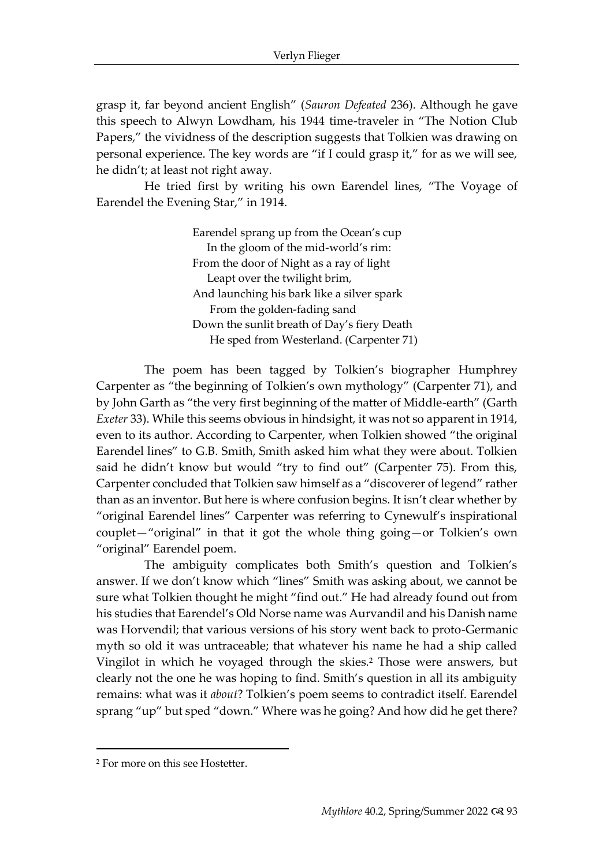grasp it, far beyond ancient English" (*Sauron Defeated* 236). Although he gave this speech to Alwyn Lowdham, his 1944 time-traveler in "The Notion Club Papers," the vividness of the description suggests that Tolkien was drawing on personal experience. The key words are "if I could grasp it," for as we will see, he didn't; at least not right away.

He tried first by writing his own Earendel lines, "The Voyage of Earendel the Evening Star," in 1914.

> Earendel sprang up from the Ocean's cup In the gloom of the mid-world's rim: From the door of Night as a ray of light Leapt over the twilight brim, And launching his bark like a silver spark From the golden-fading sand Down the sunlit breath of Day's fiery Death He sped from Westerland. (Carpenter 71)

The poem has been tagged by Tolkien's biographer Humphrey Carpenter as "the beginning of Tolkien's own mythology" (Carpenter 71), and by John Garth as "the very first beginning of the matter of Middle-earth" (Garth *Exeter* 33). While this seems obvious in hindsight, it was not so apparent in 1914, even to its author. According to Carpenter, when Tolkien showed "the original Earendel lines" to G.B. Smith, Smith asked him what they were about. Tolkien said he didn't know but would "try to find out" (Carpenter 75). From this, Carpenter concluded that Tolkien saw himself as a "discoverer of legend" rather than as an inventor. But here is where confusion begins. It isn't clear whether by "original Earendel lines" Carpenter was referring to Cynewulf's inspirational couplet—"original" in that it got the whole thing going—or Tolkien's own "original" Earendel poem.

The ambiguity complicates both Smith's question and Tolkien's answer. If we don't know which "lines" Smith was asking about, we cannot be sure what Tolkien thought he might "find out." He had already found out from his studies that Earendel's Old Norse name was Aurvandil and his Danish name was Horvendil; that various versions of his story went back to proto-Germanic myth so old it was untraceable; that whatever his name he had a ship called Vingilot in which he voyaged through the skies.<sup>2</sup> Those were answers, but clearly not the one he was hoping to find. Smith's question in all its ambiguity remains: what was it *about*? Tolkien's poem seems to contradict itself. Earendel sprang "up" but sped "down." Where was he going? And how did he get there?

<sup>2</sup> For more on this see Hostetter.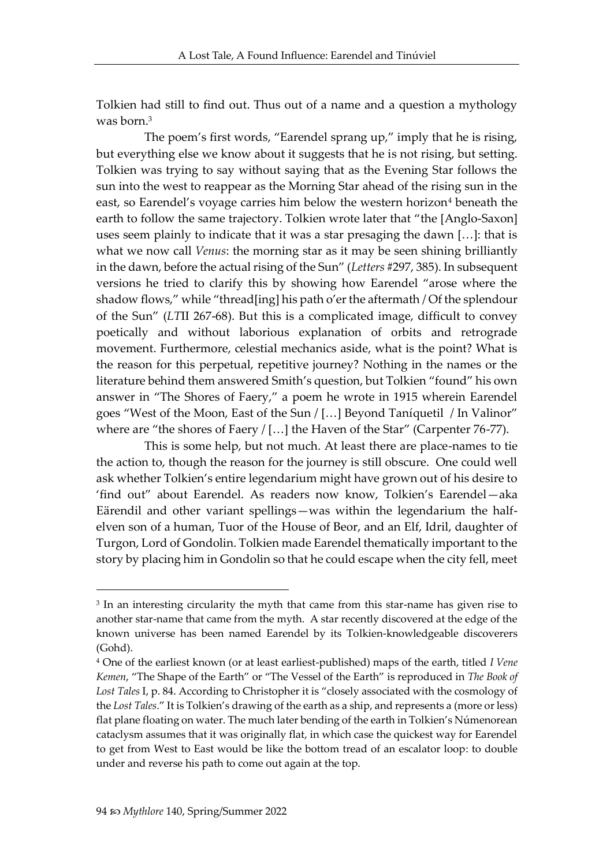Tolkien had still to find out. Thus out of a name and a question a mythology was born.<sup>3</sup>

The poem's first words, "Earendel sprang up," imply that he is rising, but everything else we know about it suggests that he is not rising, but setting. Tolkien was trying to say without saying that as the Evening Star follows the sun into the west to reappear as the Morning Star ahead of the rising sun in the east, so Earendel's voyage carries him below the western horizon<sup>4</sup> beneath the earth to follow the same trajectory. Tolkien wrote later that "the [Anglo-Saxon] uses seem plainly to indicate that it was a star presaging the dawn […]: that is what we now call *Venus*: the morning star as it may be seen shining brilliantly in the dawn, before the actual rising of the Sun" (*Letters* #297, 385). In subsequent versions he tried to clarify this by showing how Earendel "arose where the shadow flows," while "thread[ing] his path o'er the aftermath / Of the splendour of the Sun" (*LT*II 267-68). But this is a complicated image, difficult to convey poetically and without laborious explanation of orbits and retrograde movement. Furthermore, celestial mechanics aside, what is the point? What is the reason for this perpetual, repetitive journey? Nothing in the names or the literature behind them answered Smith's question, but Tolkien "found" his own answer in "The Shores of Faery," a poem he wrote in 1915 wherein Earendel goes "West of the Moon, East of the Sun / […] Beyond Taníquetil / In Valinor" where are "the shores of Faery / [...] the Haven of the Star" (Carpenter 76-77).

This is some help, but not much. At least there are place-names to tie the action to, though the reason for the journey is still obscure. One could well ask whether Tolkien's entire legendarium might have grown out of his desire to 'find out" about Earendel. As readers now know, Tolkien's Earendel—aka Eärendil and other variant spellings—was within the legendarium the halfelven son of a human, Tuor of the House of Beor, and an Elf, Idril, daughter of Turgon, Lord of Gondolin. Tolkien made Earendel thematically important to the story by placing him in Gondolin so that he could escape when the city fell, meet

<sup>3</sup> In an interesting circularity the myth that came from this star-name has given rise to another star-name that came from the myth. A star recently discovered at the edge of the known universe has been named Earendel by its Tolkien-knowledgeable discoverers (Gohd).

<sup>4</sup> One of the earliest known (or at least earliest-published) maps of the earth, titled *I Vene Kemen*, "The Shape of the Earth" or "The Vessel of the Earth" is reproduced in *The Book of Lost Tales* I, p. 84. According to Christopher it is "closely associated with the cosmology of the *Lost Tales*." It is Tolkien's drawing of the earth as a ship, and represents a (more or less) flat plane floating on water. The much later bending of the earth in Tolkien's Númenorean cataclysm assumes that it was originally flat, in which case the quickest way for Earendel to get from West to East would be like the bottom tread of an escalator loop: to double under and reverse his path to come out again at the top.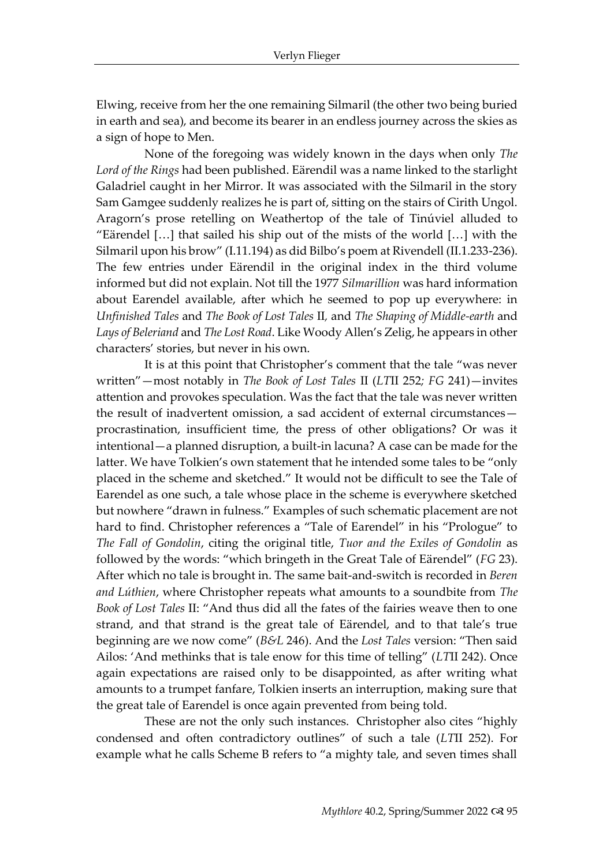Elwing, receive from her the one remaining Silmaril (the other two being buried in earth and sea), and become its bearer in an endless journey across the skies as a sign of hope to Men.

None of the foregoing was widely known in the days when only *The Lord of the Rings* had been published. Eärendil was a name linked to the starlight Galadriel caught in her Mirror. It was associated with the Silmaril in the story Sam Gamgee suddenly realizes he is part of, sitting on the stairs of Cirith Ungol. Aragorn's prose retelling on Weathertop of the tale of Tinúviel alluded to "Eärendel […] that sailed his ship out of the mists of the world […] with the Silmaril upon his brow" (I.11.194) as did Bilbo's poem at Rivendell (II.1.233-236). The few entries under Eärendil in the original index in the third volume informed but did not explain. Not till the 1977 *Silmarillion* was hard information about Earendel available, after which he seemed to pop up everywhere: in *Unfinished Tales* and *The Book of Lost Tales* II*,* and *The Shaping of Middle-earth* and *Lays of Beleriand* and *The Lost Road*. Like Woody Allen's Zelig, he appears in other characters' stories, but never in his own.

It is at this point that Christopher's comment that the tale "was never written"—most notably in *The Book of Lost Tales* II (*LT*II 252*; FG* 241)—invites attention and provokes speculation. Was the fact that the tale was never written the result of inadvertent omission, a sad accident of external circumstances procrastination, insufficient time, the press of other obligations? Or was it intentional—a planned disruption, a built-in lacuna? A case can be made for the latter. We have Tolkien's own statement that he intended some tales to be "only placed in the scheme and sketched." It would not be difficult to see the Tale of Earendel as one such, a tale whose place in the scheme is everywhere sketched but nowhere "drawn in fulness." Examples of such schematic placement are not hard to find. Christopher references a "Tale of Earendel" in his "Prologue" to *The Fall of Gondolin*, citing the original title, *Tuor and the Exiles of Gondolin* as followed by the words: "which bringeth in the Great Tale of Eärendel" (*FG* 23). After which no tale is brought in. The same bait-and-switch is recorded in *Beren and Lúthien*, where Christopher repeats what amounts to a soundbite from *The Book of Lost Tales* II: "And thus did all the fates of the fairies weave then to one strand, and that strand is the great tale of Eärendel, and to that tale's true beginning are we now come" (*B&L* 246). And the *Lost Tales* version: "Then said Ailos: 'And methinks that is tale enow for this time of telling" (*LT*II 242). Once again expectations are raised only to be disappointed, as after writing what amounts to a trumpet fanfare, Tolkien inserts an interruption, making sure that the great tale of Earendel is once again prevented from being told.

These are not the only such instances. Christopher also cites "highly condensed and often contradictory outlines" of such a tale (*LT*II 252). For example what he calls Scheme B refers to "a mighty tale, and seven times shall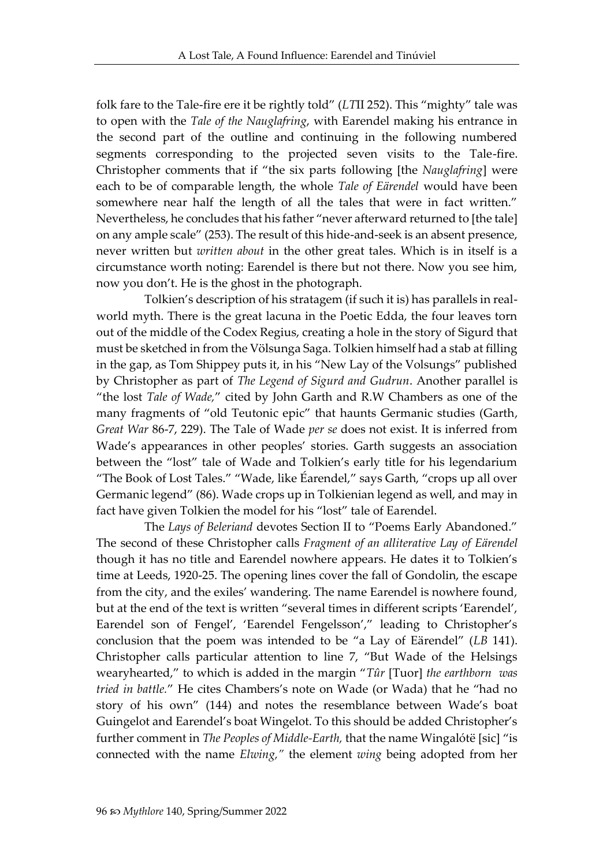folk fare to the Tale-fire ere it be rightly told" (*LT*II 252). This "mighty" tale was to open with the *Tale of the Nauglafring*, with Earendel making his entrance in the second part of the outline and continuing in the following numbered segments corresponding to the projected seven visits to the Tale-fire. Christopher comments that if "the six parts following [the *Nauglafring*] were each to be of comparable length, the whole *Tale of Eärendel* would have been somewhere near half the length of all the tales that were in fact written." Nevertheless, he concludes that his father "never afterward returned to [the tale] on any ample scale" (253). The result of this hide-and-seek is an absent presence, never written but *written about* in the other great tales. Which is in itself is a circumstance worth noting: Earendel is there but not there. Now you see him, now you don't. He is the ghost in the photograph.

Tolkien's description of his stratagem (if such it is) has parallels in realworld myth. There is the great lacuna in the Poetic Edda, the four leaves torn out of the middle of the Codex Regius, creating a hole in the story of Sigurd that must be sketched in from the Völsunga Saga. Tolkien himself had a stab at filling in the gap, as Tom Shippey puts it, in his "New Lay of the Volsungs" published by Christopher as part of *The Legend of Sigurd and Gudrun*. Another parallel is "the lost *Tale of Wade,*" cited by John Garth and R.W Chambers as one of the many fragments of "old Teutonic epic" that haunts Germanic studies (Garth, *Great War* 86-7, 229). The Tale of Wade *per se* does not exist. It is inferred from Wade's appearances in other peoples' stories. Garth suggests an association between the "lost" tale of Wade and Tolkien's early title for his legendarium "The Book of Lost Tales." "Wade, like Éarendel," says Garth, "crops up all over Germanic legend" (86). Wade crops up in Tolkienian legend as well, and may in fact have given Tolkien the model for his "lost" tale of Earendel.

The *Lays of Beleriand* devotes Section II to "Poems Early Abandoned." The second of these Christopher calls *Fragment of an alliterative Lay of Eärendel* though it has no title and Earendel nowhere appears. He dates it to Tolkien's time at Leeds, 1920-25. The opening lines cover the fall of Gondolin, the escape from the city, and the exiles' wandering. The name Earendel is nowhere found, but at the end of the text is written "several times in different scripts 'Earendel', Earendel son of Fengel', 'Earendel Fengelsson'," leading to Christopher's conclusion that the poem was intended to be "a Lay of Eärendel" (*LB* 141). Christopher calls particular attention to line 7, "But Wade of the Helsings wearyhearted," to which is added in the margin "*Tûr* [Tuor] *the earthborn was tried in battle.*" He cites Chambers's note on Wade (or Wada) that he "had no story of his own" (144) and notes the resemblance between Wade's boat Guingelot and Earendel's boat Wingelot. To this should be added Christopher's further comment in *The Peoples of Middle-Earth,* that the name Wingalótë [sic] "is connected with the name *Elwing,"* the element *wing* being adopted from her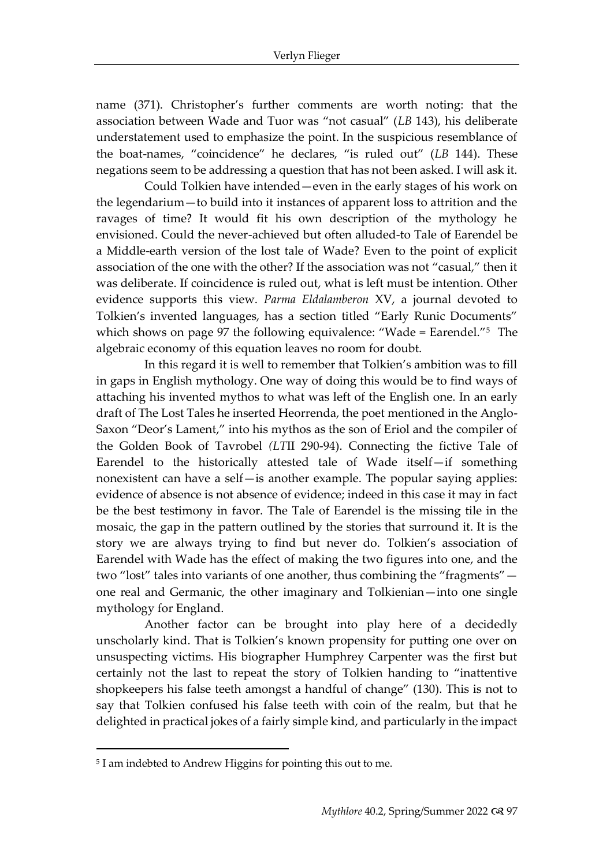name (371). Christopher's further comments are worth noting: that the association between Wade and Tuor was "not casual" (*LB* 143), his deliberate understatement used to emphasize the point. In the suspicious resemblance of the boat-names, "coincidence" he declares, "is ruled out" (*LB* 144). These negations seem to be addressing a question that has not been asked. I will ask it.

Could Tolkien have intended—even in the early stages of his work on the legendarium—to build into it instances of apparent loss to attrition and the ravages of time? It would fit his own description of the mythology he envisioned. Could the never-achieved but often alluded-to Tale of Earendel be a Middle-earth version of the lost tale of Wade? Even to the point of explicit association of the one with the other? If the association was not "casual," then it was deliberate. If coincidence is ruled out, what is left must be intention. Other evidence supports this view. *Parma Eldalamberon* XV, a journal devoted to Tolkien's invented languages, has a section titled "Early Runic Documents" which shows on page 97 the following equivalence: "Wade = Earendel."<sup>5</sup> The algebraic economy of this equation leaves no room for doubt.

In this regard it is well to remember that Tolkien's ambition was to fill in gaps in English mythology. One way of doing this would be to find ways of attaching his invented mythos to what was left of the English one. In an early draft of The Lost Tales he inserted Heorrenda, the poet mentioned in the Anglo-Saxon "Deor's Lament," into his mythos as the son of Eriol and the compiler of the Golden Book of Tavrobel *(LT*II 290-94). Connecting the fictive Tale of Earendel to the historically attested tale of Wade itself—if something nonexistent can have a self—is another example. The popular saying applies: evidence of absence is not absence of evidence; indeed in this case it may in fact be the best testimony in favor. The Tale of Earendel is the missing tile in the mosaic, the gap in the pattern outlined by the stories that surround it. It is the story we are always trying to find but never do. Tolkien's association of Earendel with Wade has the effect of making the two figures into one, and the two "lost" tales into variants of one another, thus combining the "fragments" one real and Germanic, the other imaginary and Tolkienian—into one single mythology for England.

Another factor can be brought into play here of a decidedly unscholarly kind. That is Tolkien's known propensity for putting one over on unsuspecting victims. His biographer Humphrey Carpenter was the first but certainly not the last to repeat the story of Tolkien handing to "inattentive shopkeepers his false teeth amongst a handful of change" (130). This is not to say that Tolkien confused his false teeth with coin of the realm, but that he delighted in practical jokes of a fairly simple kind, and particularly in the impact

<sup>5</sup> I am indebted to Andrew Higgins for pointing this out to me.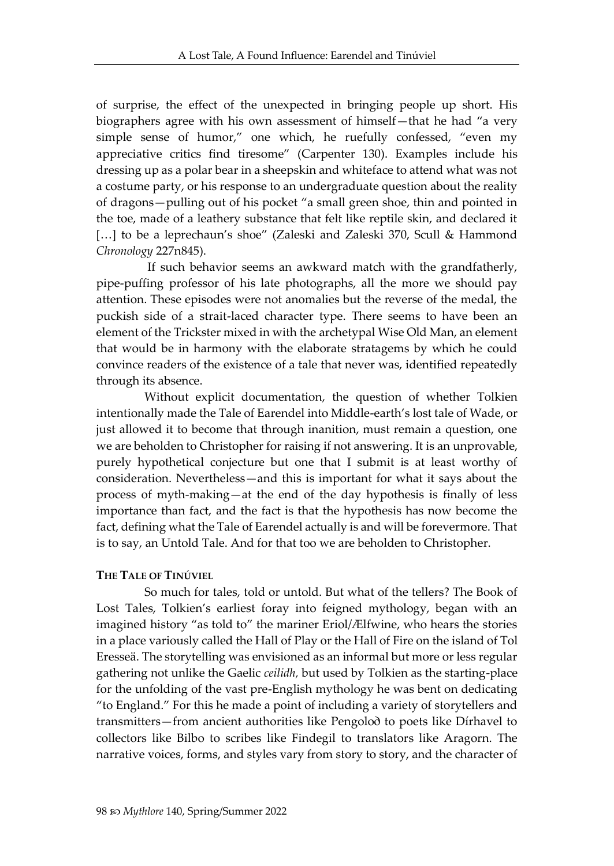of surprise, the effect of the unexpected in bringing people up short. His biographers agree with his own assessment of himself—that he had "a very simple sense of humor," one which, he ruefully confessed, "even my appreciative critics find tiresome" (Carpenter 130). Examples include his dressing up as a polar bear in a sheepskin and whiteface to attend what was not a costume party, or his response to an undergraduate question about the reality of dragons—pulling out of his pocket "a small green shoe, thin and pointed in the toe, made of a leathery substance that felt like reptile skin, and declared it [...] to be a leprechaun's shoe" (Zaleski and Zaleski 370, Scull & Hammond *Chronology* 227n845).

If such behavior seems an awkward match with the grandfatherly, pipe-puffing professor of his late photographs, all the more we should pay attention. These episodes were not anomalies but the reverse of the medal, the puckish side of a strait-laced character type. There seems to have been an element of the Trickster mixed in with the archetypal Wise Old Man, an element that would be in harmony with the elaborate stratagems by which he could convince readers of the existence of a tale that never was, identified repeatedly through its absence.

Without explicit documentation, the question of whether Tolkien intentionally made the Tale of Earendel into Middle-earth's lost tale of Wade, or just allowed it to become that through inanition, must remain a question, one we are beholden to Christopher for raising if not answering. It is an unprovable, purely hypothetical conjecture but one that I submit is at least worthy of consideration. Nevertheless—and this is important for what it says about the process of myth-making—at the end of the day hypothesis is finally of less importance than fact, and the fact is that the hypothesis has now become the fact, defining what the Tale of Earendel actually is and will be forevermore. That is to say, an Untold Tale. And for that too we are beholden to Christopher.

#### **THE TALE OF TINÚVIEL**

So much for tales, told or untold. But what of the tellers? The Book of Lost Tales, Tolkien's earliest foray into feigned mythology, began with an imagined history "as told to" the mariner Eriol/Ælfwine, who hears the stories in a place variously called the Hall of Play or the Hall of Fire on the island of Tol Eresseä. The storytelling was envisioned as an informal but more or less regular gathering not unlike the Gaelic *ceilidh,* but used by Tolkien as the starting-place for the unfolding of the vast pre-English mythology he was bent on dedicating "to England." For this he made a point of including a variety of storytellers and transmitters—from ancient authorities like Pengolo∂ to poets like Dírhavel to collectors like Bilbo to scribes like Findegil to translators like Aragorn. The narrative voices, forms, and styles vary from story to story, and the character of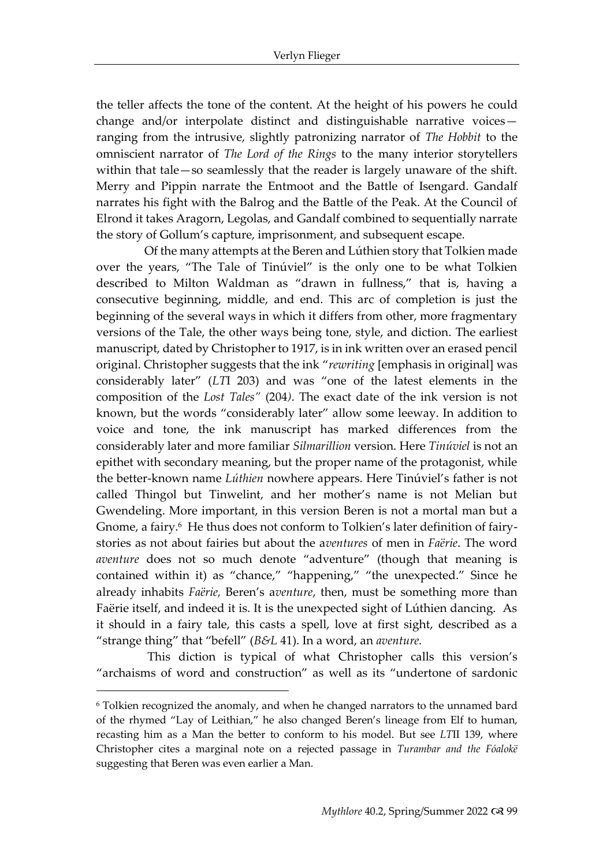the teller affects the tone of the content. At the height of his powers he could change and/or interpolate distinct and distinguishable narrative voicesranging from the intrusive, slightly patronizing narrator of *The Hobbit* to the omniscient narrator of *The Lord of the Rings* to the many interior storytellers within that tale—so seamlessly that the reader is largely unaware of the shift. Merry and Pippin narrate the Entmoot and the Battle of Isengard. Gandalf narrates his fight with the Balrog and the Battle of the Peak. At the Council of Elrond it takes Aragorn, Legolas, and Gandalf combined to sequentially narrate the story of Gollum's capture, imprisonment, and subsequent escape.

Of the many attempts at the Beren and Lúthien story that Tolkien made over the years, "The Tale of Tinúviel" is the only one to be what Tolkien described to Milton Waldman as "drawn in fullness," that is, having a consecutive beginning, middle, and end. This arc of completion is just the beginning of the several ways in which it differs from other, more fragmentary versions of the Tale, the other ways being tone, style, and diction. The earliest manuscript, dated by Christopher to 1917, is in ink written over an erased pencil original. Christopher suggests that the ink "*rewriting* [emphasis in original] was considerably later" (*LT*I 203) and was "one of the latest elements in the composition of the *Lost Tales"* (204*)*. The exact date of the ink version is not known, but the words "considerably later" allow some leeway. In addition to voice and tone, the ink manuscript has marked differences from the considerably later and more familiar *Silmarillion* version. Here *Tinúviel* is not an epithet with secondary meaning, but the proper name of the protagonist, while the better-known name *Lúthien* nowhere appears. Here Tinúviel's father is not called Thingol but Tinwelint, and her mother's name is not Melian but Gwendeling. More important, in this version Beren is not a mortal man but a Gnome, a fairy.<sup>6</sup> He thus does not conform to Tolkien's later definition of fairystories as not about fairies but about the a*ventures* of men in *Faërie*. The word *aventure* does not so much denote "adventure" (though that meaning is contained within it) as "chance," "happening," "the unexpected." Since he already inhabits *Faërie,* Beren's a*venture*, then, must be something more than Faërie itself, and indeed it is. It is the unexpected sight of Lúthien dancing. As it should in a fairy tale, this casts a spell, love at first sight, described as a "strange thing" that "befell" (*B&L* 41). In a word, an *aventure.*

This diction is typical of what Christopher calls this version's "archaisms of word and construction" as well as its "undertone of sardonic

 $6$  Tolkien recognized the anomaly, and when he changed narrators to the unnamed bard of the rhymed "Lay of Leithian," he also changed Beren's lineage from Elf to human, recasting him as a Man the better to conform to his model. But see *LT*II 139, where Christopher cites a marginal note on a rejected passage in *Turambar and the Fóalokë*  suggesting that Beren was even earlier a Man.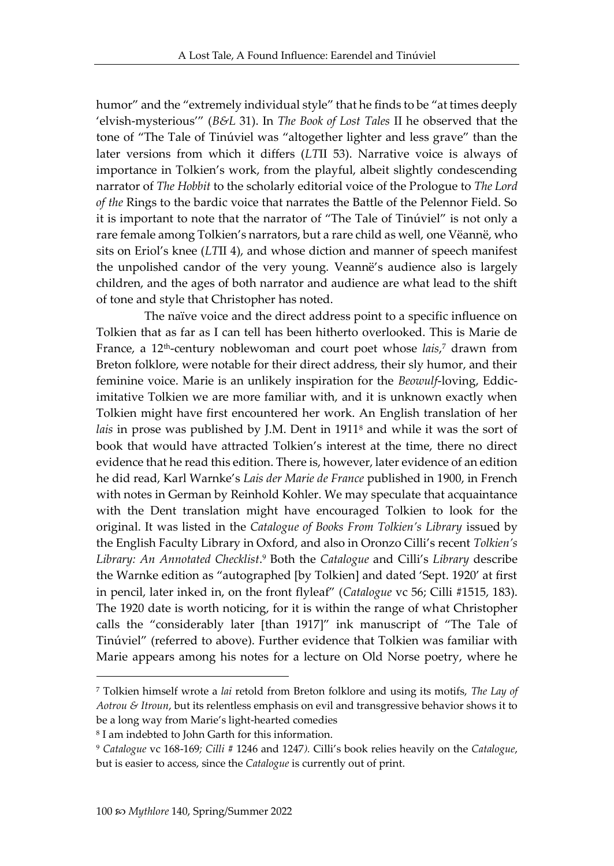humor" and the "extremely individual style" that he finds to be "at times deeply 'elvish-mysterious'" (*B&L* 31). In *The Book of Lost Tales* II he observed that the tone of "The Tale of Tinúviel was "altogether lighter and less grave" than the later versions from which it differs (*LT*II 53). Narrative voice is always of importance in Tolkien's work, from the playful, albeit slightly condescending narrator of *The Hobbit* to the scholarly editorial voice of the Prologue to *The Lord of the* Rings to the bardic voice that narrates the Battle of the Pelennor Field. So it is important to note that the narrator of "The Tale of Tinúviel" is not only a rare female among Tolkien's narrators, but a rare child as well, one Vëannë, who sits on Eriol's knee (*LT*II 4), and whose diction and manner of speech manifest the unpolished candor of the very young. Veannë's audience also is largely children, and the ages of both narrator and audience are what lead to the shift of tone and style that Christopher has noted.

The naïve voice and the direct address point to a specific influence on Tolkien that as far as I can tell has been hitherto overlooked. This is Marie de France, a 12<sup>th</sup>-century noblewoman and court poet whose *lais*,<sup>7</sup> drawn from Breton folklore, were notable for their direct address, their sly humor, and their feminine voice. Marie is an unlikely inspiration for the *Beowulf*-loving, Eddicimitative Tolkien we are more familiar with, and it is unknown exactly when Tolkien might have first encountered her work. An English translation of her *lais* in prose was published by J.M. Dent in 1911<sup>8</sup> and while it was the sort of book that would have attracted Tolkien's interest at the time, there no direct evidence that he read this edition. There is, however, later evidence of an edition he did read, Karl Warnke's *Lais der Marie de France* published in 1900, in French with notes in German by Reinhold Kohler. We may speculate that acquaintance with the Dent translation might have encouraged Tolkien to look for the original. It was listed in the *Catalogue of Books From Tolkien's Library* issued by the English Faculty Library in Oxford, and also in Oronzo Cilli's recent *Tolkien's Library: An Annotated Checklist*. <sup>9</sup> Both the *Catalogue* and Cilli's *Library* describe the Warnke edition as "autographed [by Tolkien] and dated 'Sept. 1920' at first in pencil, later inked in, on the front flyleaf" (*Catalogue* vc 56; Cilli #1515, 183). The 1920 date is worth noticing, for it is within the range of what Christopher calls the "considerably later [than 1917]" ink manuscript of "The Tale of Tinúviel" (referred to above). Further evidence that Tolkien was familiar with Marie appears among his notes for a lecture on Old Norse poetry, where he

<sup>7</sup> Tolkien himself wrote a *lai* retold from Breton folklore and using its motifs, *The Lay of Aotrou & Itroun*, but its relentless emphasis on evil and transgressive behavior shows it to be a long way from Marie's light-hearted comedies

<sup>8</sup> I am indebted to John Garth for this information.

<sup>9</sup> *Catalogue* vc 168-169*; Cilli* # 1246 and 1247*).* Cilli's book relies heavily on the *Catalogue*, but is easier to access, since the *Catalogue* is currently out of print.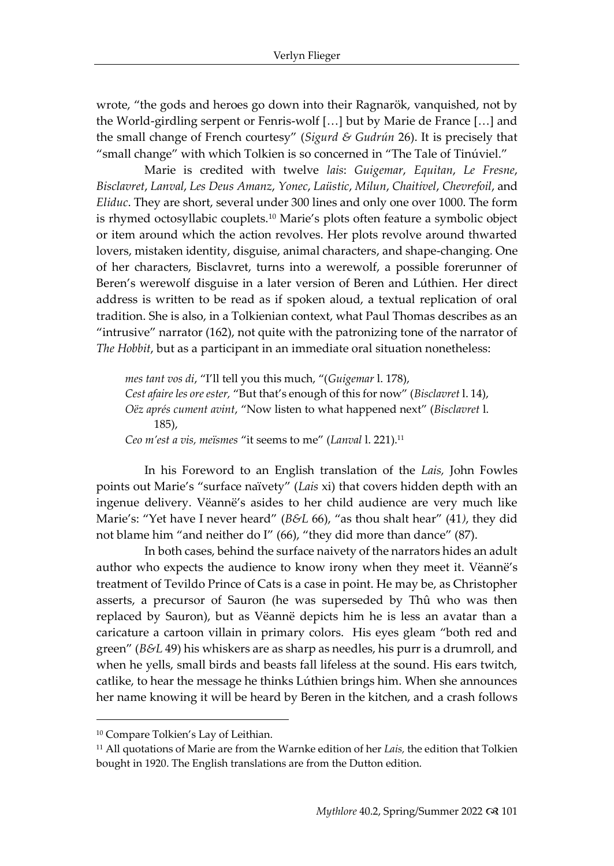wrote, "the gods and heroes go down into their Ragnarök, vanquished, not by the World-girdling serpent or Fenris-wolf […] but by Marie de France […] and the small change of French courtesy" (*Sigurd & Gudrún* 26). It is precisely that "small change" with which Tolkien is so concerned in "The Tale of Tinúviel."

Marie is credited with twelve *lais*: *Guigemar*, *Equitan*, *Le Fresne*, *Bisclavret*, *Lanval*, *Les Deus Amanz*, *Yonec*, *Laüstic*, *Milun*, *Chaitivel*, *Chevrefoil*, and *Eliduc*. They are short, several under 300 lines and only one over 1000. The form is rhymed octosyllabic couplets.<sup>10</sup> Marie's plots often feature a symbolic object or item around which the action revolves. Her plots revolve around thwarted lovers, mistaken identity, disguise, animal characters, and shape-changing. One of her characters, Bisclavret, turns into a werewolf, a possible forerunner of Beren's werewolf disguise in a later version of Beren and Lúthien. Her direct address is written to be read as if spoken aloud, a textual replication of oral tradition. She is also, in a Tolkienian context, what Paul Thomas describes as an "intrusive" narrator (162), not quite with the patronizing tone of the narrator of *The Hobbit*, but as a participant in an immediate oral situation nonetheless:

*mes tant vos di*, "I'll tell you this much, "(*Guigemar* l. 178), *Cest afaire les ore ester,* "But that's enough of this for now" (*Bisclavret* l. 14), *Oëz aprés cument avint*, "Now listen to what happened next" (*Bisclavret* l. 185), *Ceo m'est a vis, meïsmes* "it seems to me" (*Lanval* l. 221).<sup>11</sup>

In his Foreword to an English translation of the *Lais,* John Fowles points out Marie's "surface naïvety" (*Lais* xi) that covers hidden depth with an ingenue delivery. Vëannë's asides to her child audience are very much like Marie's: "Yet have I never heard" (*B&L* 66), "as thou shalt hear" (41*)*, they did not blame him "and neither do I" (66), "they did more than dance" (87).

In both cases, behind the surface naivety of the narrators hides an adult author who expects the audience to know irony when they meet it. Vëannë's treatment of Tevildo Prince of Cats is a case in point. He may be, as Christopher asserts, a precursor of Sauron (he was superseded by Thû who was then replaced by Sauron), but as Vëannë depicts him he is less an avatar than a caricature a cartoon villain in primary colors. His eyes gleam "both red and green" (*B&L* 49) his whiskers are as sharp as needles, his purr is a drumroll, and when he yells, small birds and beasts fall lifeless at the sound. His ears twitch, catlike, to hear the message he thinks Lúthien brings him. When she announces her name knowing it will be heard by Beren in the kitchen, and a crash follows

<sup>10</sup> Compare Tolkien's Lay of Leithian.

<sup>11</sup> All quotations of Marie are from the Warnke edition of her *Lais,* the edition that Tolkien bought in 1920. The English translations are from the Dutton edition.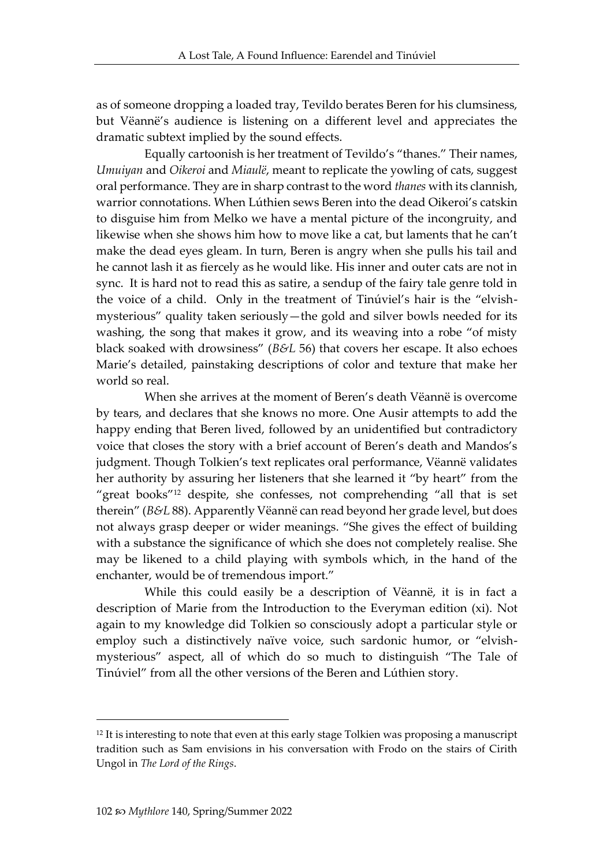as of someone dropping a loaded tray, Tevildo berates Beren for his clumsiness, but Vëannë's audience is listening on a different level and appreciates the dramatic subtext implied by the sound effects.

Equally cartoonish is her treatment of Tevildo's "thanes." Their names, *Umuiyan* and *Oikeroi* and *Miaulë*, meant to replicate the yowling of cats, suggest oral performance. They are in sharp contrast to the word *thanes* with its clannish, warrior connotations. When Lúthien sews Beren into the dead Oikeroi's catskin to disguise him from Melko we have a mental picture of the incongruity, and likewise when she shows him how to move like a cat, but laments that he can't make the dead eyes gleam. In turn, Beren is angry when she pulls his tail and he cannot lash it as fiercely as he would like. His inner and outer cats are not in sync. It is hard not to read this as satire, a sendup of the fairy tale genre told in the voice of a child. Only in the treatment of Tinúviel's hair is the "elvishmysterious" quality taken seriously—the gold and silver bowls needed for its washing, the song that makes it grow, and its weaving into a robe "of misty black soaked with drowsiness" (*B&L* 56) that covers her escape. It also echoes Marie's detailed, painstaking descriptions of color and texture that make her world so real.

When she arrives at the moment of Beren's death Vëannë is overcome by tears, and declares that she knows no more. One Ausir attempts to add the happy ending that Beren lived, followed by an unidentified but contradictory voice that closes the story with a brief account of Beren's death and Mandos's judgment. Though Tolkien's text replicates oral performance, Vëannë validates her authority by assuring her listeners that she learned it "by heart" from the "great books"<sup>12</sup> despite, she confesses, not comprehending "all that is set therein" (*B&L* 88). Apparently Vëannë can read beyond her grade level, but does not always grasp deeper or wider meanings. "She gives the effect of building with a substance the significance of which she does not completely realise. She may be likened to a child playing with symbols which, in the hand of the enchanter, would be of tremendous import."

While this could easily be a description of Vëannë, it is in fact a description of Marie from the Introduction to the Everyman edition (xi). Not again to my knowledge did Tolkien so consciously adopt a particular style or employ such a distinctively naïve voice, such sardonic humor, or "elvishmysterious" aspect, all of which do so much to distinguish "The Tale of Tinúviel" from all the other versions of the Beren and Lúthien story.

<sup>&</sup>lt;sup>12</sup> It is interesting to note that even at this early stage Tolkien was proposing a manuscript tradition such as Sam envisions in his conversation with Frodo on the stairs of Cirith Ungol in *The Lord of the Rings*.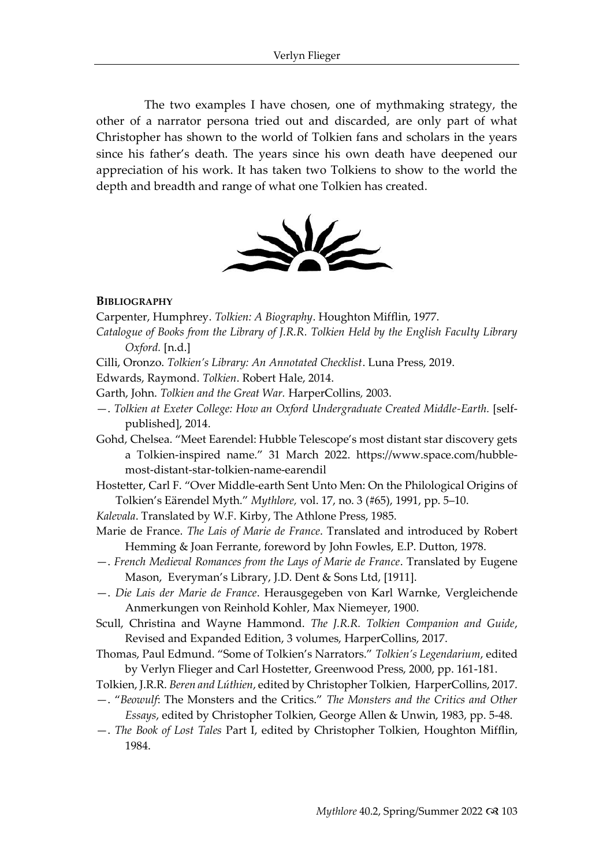The two examples I have chosen, one of mythmaking strategy, the other of a narrator persona tried out and discarded, are only part of what Christopher has shown to the world of Tolkien fans and scholars in the years since his father's death. The years since his own death have deepened our appreciation of his work. It has taken two Tolkiens to show to the world the depth and breadth and range of what one Tolkien has created.



#### **BIBLIOGRAPHY**

Carpenter, Humphrey. *Tolkien: A Biography*. Houghton Mifflin, 1977.

- *Catalogue of Books from the Library of J.R.R. Tolkien Held by the English Faculty Library Oxford.* [n.d.]
- Cilli, Oronzo. *Tolkien's Library: An Annotated Checklist*. Luna Press, 2019.

Edwards, Raymond. *Tolkien*. Robert Hale, 2014.

- Garth, John. *Tolkien and the Great War.* HarperCollins*,* 2003.
- —. *Tolkien at Exeter College: How an Oxford Undergraduate Created Middle-Earth.* [selfpublished], 2014.

Gohd, Chelsea. "Meet Earendel: Hubble Telescope's most distant star discovery gets a Tolkien-inspired name." 31 March 2022. [https://www.space.com/hubble](https://www.space.com/hubble-most-distant-star-tolkien-name-earendil)[most-distant-star-tolkien-name-earendil](https://www.space.com/hubble-most-distant-star-tolkien-name-earendil)

Hostetter, Carl F. "Over Middle-earth Sent Unto Men: On the Philological Origins of Tolkien's Eärendel Myth." *Mythlore,* vol. 17, no. 3 (#65), 1991, pp. 5–10.

*Kalevala*. Translated by W.F. Kirby, The Athlone Press, 1985.

- Marie de France. *The Lais of Marie de France*. Translated and introduced by Robert Hemming & Joan Ferrante, foreword by John Fowles, E.P. Dutton, 1978.
- —. *French Medieval Romances from the Lays of Marie de France*. Translated by Eugene Mason, Everyman's Library, J.D. Dent & Sons Ltd, [1911].
- —. *Die Lais der Marie de France*. Herausgegeben von Karl Warnke, Vergleichende Anmerkungen von Reinhold Kohler, Max Niemeyer, 1900.
- Scull, Christina and Wayne Hammond. *The J.R.R. Tolkien Companion and Guide*, Revised and Expanded Edition, 3 volumes, HarperCollins, 2017.
- Thomas, Paul Edmund. "Some of Tolkien's Narrators." *Tolkien's Legendarium*, edited by Verlyn Flieger and Carl Hostetter, Greenwood Press, 2000, pp. 161-181.
- Tolkien, J.R.R. *Beren and Lúthien*, edited by Christopher Tolkien, HarperCollins, 2017.
- —. "*Beowulf*: The Monsters and the Critics." *The Monsters and the Critics and Other Essays*, edited by Christopher Tolkien, George Allen & Unwin, 1983, pp. 5-48.
- —. *The Book of Lost Tales* Part I, edited by Christopher Tolkien, Houghton Mifflin, 1984.